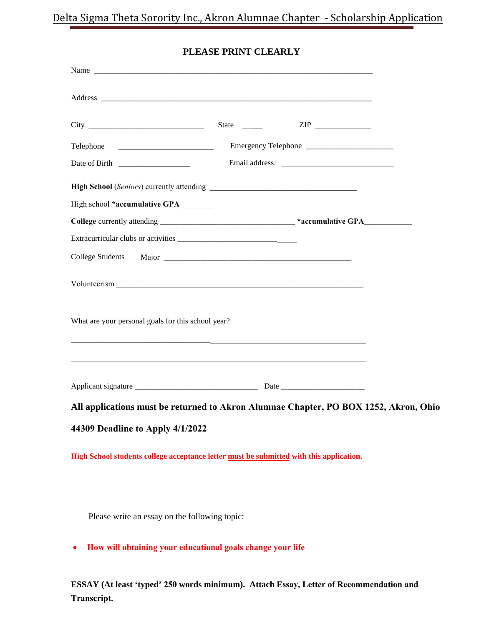| Telephone                                                                                            |  |  |
|------------------------------------------------------------------------------------------------------|--|--|
|                                                                                                      |  |  |
|                                                                                                      |  |  |
| High school *accumulative GPA                                                                        |  |  |
| College currently attending __________________________________*accumulative GPA_____________________ |  |  |
|                                                                                                      |  |  |
| <b>College Students</b>                                                                              |  |  |
|                                                                                                      |  |  |
| What are your personal goals for this school year?                                                   |  |  |
|                                                                                                      |  |  |
| All applications must be returned to Akron Alumnae Chapter, PO BOX 1252, Akron, Ohio                 |  |  |
| 44309 Deadline to Apply 4/1/2022                                                                     |  |  |

## **PLEASE PRINT CLEARLY**

**High School students college acceptance letter must be submitted with this application.**

Please write an essay on the following topic:

• **How will obtaining your educational goals change your life** 

**ESSAY (At least 'typed' 250 words minimum). Attach Essay, Letter of Recommendation and Transcript.**